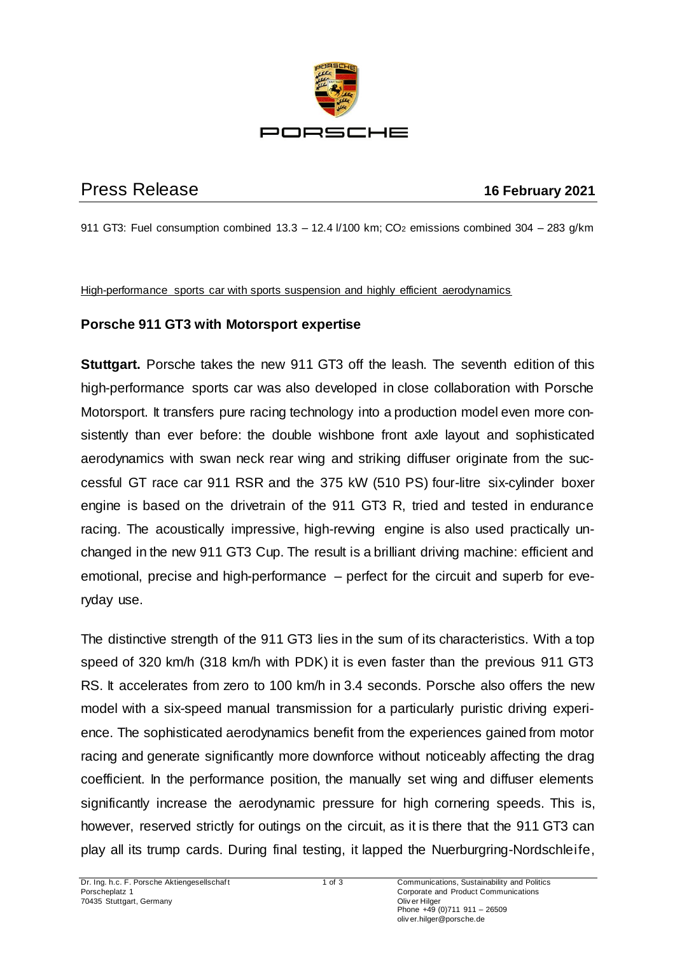

## Press Release **16 February 2021**

911 GT3: Fuel consumption combined  $13.3 - 12.4$   $1/100$  km; CO<sub>2</sub> emissions combined  $304 - 283$  g/km

High-performance sports car with sports suspension and highly efficient aerodynamics

## **Porsche 911 GT3 with Motorsport expertise**

**Stuttgart.** Porsche takes the new 911 GT3 off the leash. The seventh edition of this high-performance sports car was also developed in close collaboration with Porsche Motorsport. It transfers pure racing technology into a production model even more consistently than ever before: the double wishbone front axle layout and sophisticated aerodynamics with swan neck rear wing and striking diffuser originate from the successful GT race car 911 RSR and the 375 kW (510 PS) four-litre six-cylinder boxer engine is based on the drivetrain of the 911 GT3 R, tried and tested in endurance racing. The acoustically impressive, high-revving engine is also used practically unchanged in the new 911 GT3 Cup. The result is a brilliant driving machine: efficient and emotional, precise and high-performance – perfect for the circuit and superb for everyday use.

The distinctive strength of the 911 GT3 lies in the sum of its characteristics. With a top speed of 320 km/h (318 km/h with PDK) it is even faster than the previous 911 GT3 RS. It accelerates from zero to 100 km/h in 3.4 seconds. Porsche also offers the new model with a six-speed manual transmission for a particularly puristic driving experience. The sophisticated aerodynamics benefit from the experiences gained from motor racing and generate significantly more downforce without noticeably affecting the drag coefficient. In the performance position, the manually set wing and diffuser elements significantly increase the aerodynamic pressure for high cornering speeds. This is, however, reserved strictly for outings on the circuit, as it is there that the 911 GT3 can play all its trump cards. During final testing, it lapped the Nuerburgring-Nordschleife,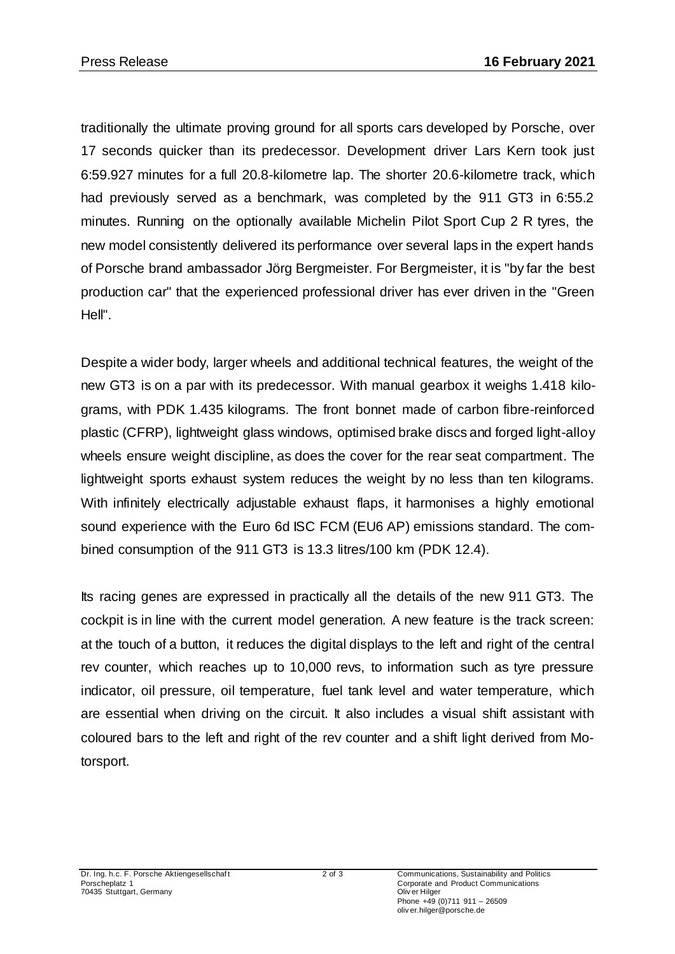traditionally the ultimate proving ground for all sports cars developed by Porsche, over 17 seconds quicker than its predecessor. Development driver Lars Kern took just 6:59.927 minutes for a full 20.8-kilometre lap. The shorter 20.6-kilometre track, which had previously served as a benchmark, was completed by the 911 GT3 in 6:55.2 minutes. Running on the optionally available Michelin Pilot Sport Cup 2 R tyres, the new model consistently delivered its performance over several laps in the expert hands of Porsche brand ambassador Jörg Bergmeister. For Bergmeister, it is "by far the best production car" that the experienced professional driver has ever driven in the "Green Hell".

Despite a wider body, larger wheels and additional technical features, the weight of the new GT3 is on a par with its predecessor. With manual gearbox it weighs 1.418 kilograms, with PDK 1.435 kilograms. The front bonnet made of carbon fibre-reinforced plastic (CFRP), lightweight glass windows, optimised brake discs and forged light-alloy wheels ensure weight discipline, as does the cover for the rear seat compartment. The lightweight sports exhaust system reduces the weight by no less than ten kilograms. With infinitely electrically adjustable exhaust flaps, it harmonises a highly emotional sound experience with the Euro 6d ISC FCM (EU6 AP) emissions standard. The combined consumption of the 911 GT3 is 13.3 litres/100 km (PDK 12.4).

Its racing genes are expressed in practically all the details of the new 911 GT3. The cockpit is in line with the current model generation. A new feature is the track screen: at the touch of a button, it reduces the digital displays to the left and right of the central rev counter, which reaches up to 10,000 revs, to information such as tyre pressure indicator, oil pressure, oil temperature, fuel tank level and water temperature, which are essential when driving on the circuit. It also includes a visual shift assistant with coloured bars to the left and right of the rev counter and a shift light derived from Motorsport.